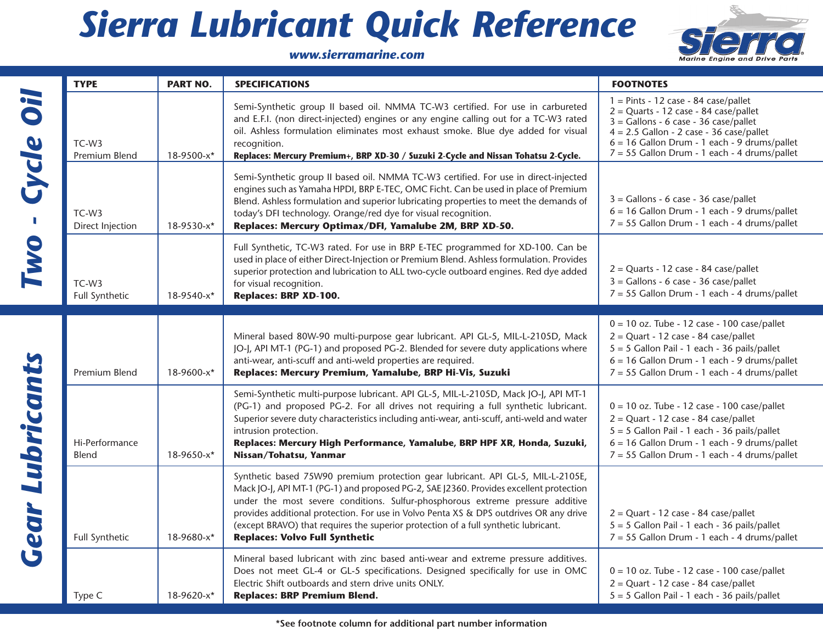## *Sierra Lubricant Quick Reference*



|                                              | <b>TYPE</b>                           | <b>PART NO.</b> | <b>SPECIFICATIONS</b>                                                                                                                                                                                                                                                                                                                                                                                                                                                                 | <b>FOOTNOTES</b>                                                                                                                                                                                                                                                             |
|----------------------------------------------|---------------------------------------|-----------------|---------------------------------------------------------------------------------------------------------------------------------------------------------------------------------------------------------------------------------------------------------------------------------------------------------------------------------------------------------------------------------------------------------------------------------------------------------------------------------------|------------------------------------------------------------------------------------------------------------------------------------------------------------------------------------------------------------------------------------------------------------------------------|
| lio<br>Cycle<br>$\mathbb{R}^n$<br><b>IWO</b> | TC-W3<br>Premium Blend                | 18-9500-x*      | Semi-Synthetic group II based oil. NMMA TC-W3 certified. For use in carbureted<br>and E.F.I. (non direct-injected) engines or any engine calling out for a TC-W3 rated<br>oil. Ashless formulation eliminates most exhaust smoke. Blue dye added for visual<br>recognition.<br>Replaces: Mercury Premium+, BRP XD-30 / Suzuki 2-Cycle and Nissan Tohatsu 2-Cycle.                                                                                                                     | $1 =$ Pints - 12 case - 84 case/pallet<br>$2 =$ Quarts - 12 case - 84 case/pallet<br>$3 =$ Gallons - 6 case - 36 case/pallet<br>$4 = 2.5$ Gallon - 2 case - 36 case/pallet<br>$6 = 16$ Gallon Drum - 1 each - 9 drums/pallet<br>7 = 55 Gallon Drum - 1 each - 4 drums/pallet |
|                                              | TC-W <sub>3</sub><br>Direct Injection | 18-9530-x*      | Semi-Synthetic group II based oil. NMMA TC-W3 certified. For use in direct-injected<br>engines such as Yamaha HPDI, BRP E-TEC, OMC Ficht. Can be used in place of Premium<br>Blend. Ashless formulation and superior lubricating properties to meet the demands of<br>today's DFI technology. Orange/red dye for visual recognition.<br>Replaces: Mercury Optimax/DFI, Yamalube 2M, BRP XD-50.                                                                                        | $3 =$ Gallons - 6 case - 36 case/pallet<br>$6 = 16$ Gallon Drum - 1 each - 9 drums/pallet<br>$7 = 55$ Gallon Drum - 1 each - 4 drums/pallet                                                                                                                                  |
|                                              | TC-W <sub>3</sub><br>Full Synthetic   | 18-9540-x*      | Full Synthetic, TC-W3 rated. For use in BRP E-TEC programmed for XD-100. Can be<br>used in place of either Direct-Injection or Premium Blend. Ashless formulation. Provides<br>superior protection and lubrication to ALL two-cycle outboard engines. Red dye added<br>for visual recognition.<br>Replaces: BRP XD-100.                                                                                                                                                               | $2 =$ Quarts - 12 case - 84 case/pallet<br>$3 =$ Gallons - 6 case - 36 case/pallet<br>$7 = 55$ Gallon Drum - 1 each - 4 drums/pallet                                                                                                                                         |
| <b>Gear Lubricants</b>                       | Premium Blend                         | 18-9600-x*      | Mineral based 80W-90 multi-purpose gear lubricant. API GL-5, MIL-L-2105D, Mack<br>JO-J, API MT-1 (PG-1) and proposed PG-2. Blended for severe duty applications where<br>anti-wear, anti-scuff and anti-weld properties are required.<br>Replaces: Mercury Premium, Yamalube, BRP Hi-Vis, Suzuki                                                                                                                                                                                      | $0 = 10$ oz. Tube - 12 case - 100 case/pallet<br>$2 =$ Quart - 12 case - 84 case/pallet<br>$5 = 5$ Gallon Pail - 1 each - 36 pails/pallet<br>$6 = 16$ Gallon Drum - 1 each - 9 drums/pallet<br>7 = 55 Gallon Drum - 1 each - 4 drums/pallet                                  |
|                                              | Hi-Performance<br>Blend               | 18-9650-x*      | Semi-Synthetic multi-purpose lubricant. API GL-5, MIL-L-2105D, Mack JO-J, API MT-1<br>(PG-1) and proposed PG-2. For all drives not requiring a full synthetic lubricant.<br>Superior severe duty characteristics including anti-wear, anti-scuff, anti-weld and water<br>intrusion protection.<br>Replaces: Mercury High Performance, Yamalube, BRP HPF XR, Honda, Suzuki,<br>Nissan/Tohatsu, Yanmar                                                                                  | $0 = 10$ oz. Tube - 12 case - 100 case/pallet<br>$2 =$ Quart - 12 case - 84 case/pallet<br>5 = 5 Gallon Pail - 1 each - 36 pails/pallet<br>$6 = 16$ Gallon Drum - 1 each - 9 drums/pallet<br>$7 = 55$ Gallon Drum - 1 each - 4 drums/pallet                                  |
|                                              | Full Synthetic                        | 18-9680-x*      | Synthetic based 75W90 premium protection gear lubricant. API GL-5, MIL-L-2105E,<br>Mack JO-J, API MT-1 (PG-1) and proposed PG-2, SAE J2360. Provides excellent protection<br>under the most severe conditions. Sulfur-phosphorous extreme pressure additive<br>provides additional protection. For use in Volvo Penta XS & DPS outdrives OR any drive<br>(except BRAVO) that requires the superior protection of a full synthetic lubricant.<br><b>Replaces: Volvo Full Synthetic</b> | $2 =$ Quart - 12 case - 84 case/pallet<br>$5 = 5$ Gallon Pail - 1 each - 36 pails/pallet<br>7 = 55 Gallon Drum - 1 each - 4 drums/pallet                                                                                                                                     |
|                                              | Type C                                | 18-9620-x*      | Mineral based lubricant with zinc based anti-wear and extreme pressure additives.<br>Does not meet GL-4 or GL-5 specifications. Designed specifically for use in OMC<br>Electric Shift outboards and stern drive units ONLY.<br><b>Replaces: BRP Premium Blend.</b>                                                                                                                                                                                                                   | $0 = 10$ oz. Tube - 12 case - 100 case/pallet<br>$2 =$ Quart - 12 case - 84 case/pallet<br>$5 = 5$ Gallon Pail - 1 each - 36 pails/pallet                                                                                                                                    |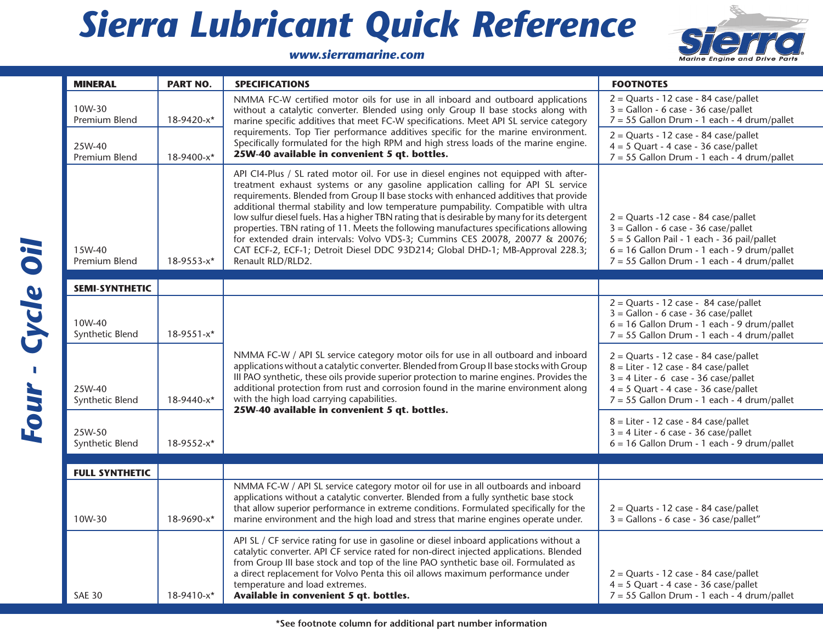## *Sierra Lubricant Quick Reference*



## *www.sierramarine.com*

| <b>MINERAL</b>            | <b>PART NO.</b> | <b>SPECIFICATIONS</b>                                                                                                                                                                                                                                                                                                                                                                                                                                                                                                                                                                                                                                                                                                                    | <b>FOOTNOTES</b>                                                                                                                                                                                                                  |
|---------------------------|-----------------|------------------------------------------------------------------------------------------------------------------------------------------------------------------------------------------------------------------------------------------------------------------------------------------------------------------------------------------------------------------------------------------------------------------------------------------------------------------------------------------------------------------------------------------------------------------------------------------------------------------------------------------------------------------------------------------------------------------------------------------|-----------------------------------------------------------------------------------------------------------------------------------------------------------------------------------------------------------------------------------|
| 10W-30<br>Premium Blend   | 18-9420-x*      | NMMA FC-W certified motor oils for use in all inboard and outboard applications<br>without a catalytic converter. Blended using only Group II base stocks along with<br>marine specific additives that meet FC-W specifications. Meet API SL service category                                                                                                                                                                                                                                                                                                                                                                                                                                                                            | $2 =$ Quarts - 12 case - 84 case/pallet<br>$3 =$ Gallon - 6 case - 36 case/pallet<br>$7 = 55$ Gallon Drum - 1 each - 4 drum/pallet                                                                                                |
| 25W-40<br>Premium Blend   | 18-9400-x*      | requirements. Top Tier performance additives specific for the marine environment.<br>Specifically formulated for the high RPM and high stress loads of the marine engine.<br>25W-40 available in convenient 5 qt. bottles.                                                                                                                                                                                                                                                                                                                                                                                                                                                                                                               | $2 =$ Quarts - 12 case - 84 case/pallet<br>$4 = 5$ Quart - 4 case - 36 case/pallet<br>7 = 55 Gallon Drum - 1 each - 4 drum/pallet                                                                                                 |
| 15W-40<br>Premium Blend   | 18-9553-x*      | API CI4-Plus / SL rated motor oil. For use in diesel engines not equipped with after-<br>treatment exhaust systems or any gasoline application calling for API SL service<br>requirements. Blended from Group II base stocks with enhanced additives that provide<br>additional thermal stability and low temperature pumpability. Compatible with ultra<br>low sulfur diesel fuels. Has a higher TBN rating that is desirable by many for its detergent<br>properties. TBN rating of 11. Meets the following manufactures specifications allowing<br>for extended drain intervals: Volvo VDS-3; Cummins CES 20078, 20077 & 20076;<br>CAT ECF-2, ECF-1; Detroit Diesel DDC 93D214; Global DHD-1; MB-Approval 228.3;<br>Renault RLD/RLD2. | $2 =$ Quarts -12 case - 84 case/pallet<br>$3 =$ Gallon - 6 case - 36 case/pallet<br>5 = 5 Gallon Pail - 1 each - 36 pail/pallet<br>$6 = 16$ Gallon Drum - 1 each - 9 drum/pallet<br>$7 = 55$ Gallon Drum - 1 each - 4 drum/pallet |
| <b>SEMI-SYNTHETIC</b>     |                 |                                                                                                                                                                                                                                                                                                                                                                                                                                                                                                                                                                                                                                                                                                                                          |                                                                                                                                                                                                                                   |
| 10W-40<br>Synthetic Blend | 18-9551-x*      |                                                                                                                                                                                                                                                                                                                                                                                                                                                                                                                                                                                                                                                                                                                                          | $2 =$ Quarts - 12 case - 84 case/pallet<br>$3 =$ Gallon - 6 case - 36 case/pallet<br>$6 = 16$ Gallon Drum - 1 each - 9 drum/pallet<br>$7 = 55$ Gallon Drum - 1 each - 4 drum/pallet                                               |
| 25W-40<br>Synthetic Blend | 18-9440-x*      | NMMA FC-W / API SL service category motor oils for use in all outboard and inboard<br>applications without a catalytic converter. Blended from Group II base stocks with Group<br>III PAO synthetic, these oils provide superior protection to marine engines. Provides the<br>additional protection from rust and corrosion found in the marine environment along<br>with the high load carrying capabilities.                                                                                                                                                                                                                                                                                                                          | $2 =$ Quarts - 12 case - 84 case/pallet<br>$8 =$ Liter - 12 case - 84 case/pallet<br>$3 = 4$ Liter - 6 case - 36 case/pallet<br>$4 = 5$ Quart - 4 case - 36 case/pallet<br>7 = 55 Gallon Drum - 1 each - 4 drum/pallet            |
| 25W-50<br>Synthetic Blend | 18-9552-x*      | 25W-40 available in convenient 5 qt. bottles.                                                                                                                                                                                                                                                                                                                                                                                                                                                                                                                                                                                                                                                                                            | $8 =$ Liter - 12 case - 84 case/pallet<br>$3 = 4$ Liter - 6 case - 36 case/pallet<br>$6 = 16$ Gallon Drum - 1 each - 9 drum/pallet                                                                                                |
| <b>FULL SYNTHETIC</b>     |                 |                                                                                                                                                                                                                                                                                                                                                                                                                                                                                                                                                                                                                                                                                                                                          |                                                                                                                                                                                                                                   |
| 10W-30                    | 18-9690-x*      | NMMA FC-W / API SL service category motor oil for use in all outboards and inboard<br>applications without a catalytic converter. Blended from a fully synthetic base stock<br>that allow superior performance in extreme conditions. Formulated specifically for the<br>marine environment and the high load and stress that marine engines operate under.                                                                                                                                                                                                                                                                                                                                                                              | $2 =$ Quarts - 12 case - 84 case/pallet<br>$3 =$ Gallons - 6 case - 36 case/pallet"                                                                                                                                               |
| <b>SAE 30</b>             | 18-9410-x*      | API SL / CF service rating for use in gasoline or diesel inboard applications without a<br>catalytic converter. API CF service rated for non-direct injected applications. Blended<br>from Group III base stock and top of the line PAO synthetic base oil. Formulated as<br>a direct replacement for Volvo Penta this oil allows maximum performance under<br>temperature and load extremes.<br>Available in convenient 5 qt. bottles.                                                                                                                                                                                                                                                                                                  | $2 =$ Quarts - 12 case - 84 case/pallet<br>$4 = 5$ Quart - 4 case - 36 case/pallet<br>7 = 55 Gallon Drum - 1 each - 4 drum/pallet                                                                                                 |

**\*See footnote column for additional part number information**